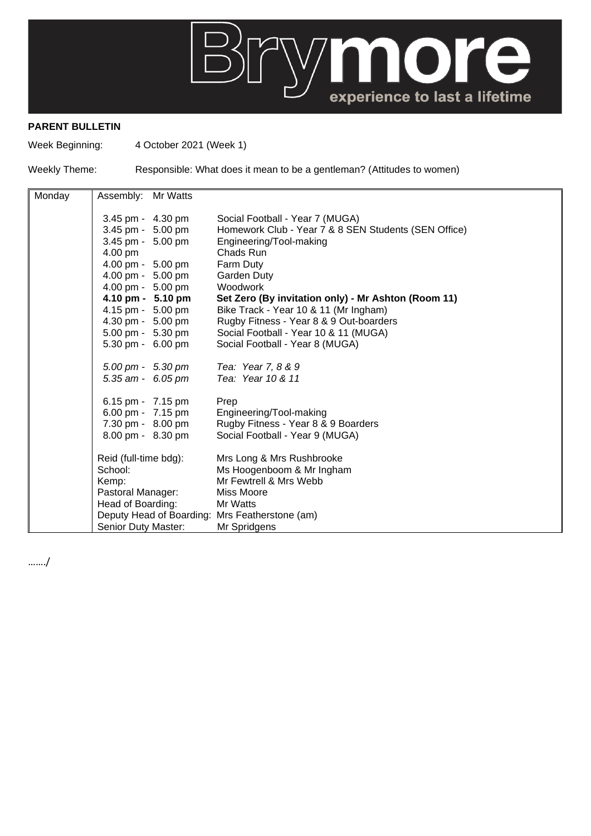

## **PARENT BULLETIN**

Week Beginning: 4 October 2021 (Week 1)

Weekly Theme: Responsible: What does it mean to be a gentleman? (Attitudes to women)

| Monday | Assembly: Mr Watts                             |                                                      |
|--------|------------------------------------------------|------------------------------------------------------|
|        |                                                |                                                      |
|        | 3.45 pm - 4.30 pm                              | Social Football - Year 7 (MUGA)                      |
|        | 3.45 pm - 5.00 pm                              | Homework Club - Year 7 & 8 SEN Students (SEN Office) |
|        | 3.45 pm - 5.00 pm                              | Engineering/Tool-making                              |
|        | 4.00 pm                                        | Chads Run                                            |
|        | 4.00 pm - 5.00 pm                              | Farm Duty                                            |
|        | 4.00 pm - 5.00 pm                              | <b>Garden Duty</b>                                   |
|        | 4.00 pm - 5.00 pm                              | Woodwork                                             |
|        | 4.10 pm - 5.10 pm                              | Set Zero (By invitation only) - Mr Ashton (Room 11)  |
|        | 4.15 pm - 5.00 pm                              | Bike Track - Year 10 & 11 (Mr Ingham)                |
|        | 4.30 pm - 5.00 pm                              | Rugby Fitness - Year 8 & 9 Out-boarders              |
|        | 5.00 pm - 5.30 pm                              | Social Football - Year 10 & 11 (MUGA)                |
|        | 5.30 pm - 6.00 pm                              | Social Football - Year 8 (MUGA)                      |
|        |                                                |                                                      |
|        | $5.00 \text{ pm} - 5.30 \text{ pm}$            | Tea: Year 7, 8 & 9                                   |
|        | 5.35 am - 6.05 pm                              | Tea: Year 10 & 11                                    |
|        |                                                |                                                      |
|        | 6.15 pm - 7.15 pm                              | Prep                                                 |
|        | 6.00 pm - 7.15 pm                              | Engineering/Tool-making                              |
|        | 7.30 pm - 8.00 pm                              | Rugby Fitness - Year 8 & 9 Boarders                  |
|        | 8.00 pm - 8.30 pm                              | Social Football - Year 9 (MUGA)                      |
|        | Reid (full-time bdg):                          | Mrs Long & Mrs Rushbrooke                            |
|        | School:                                        | Ms Hoogenboom & Mr Ingham                            |
|        | Kemp:                                          | Mr Fewtrell & Mrs Webb                               |
|        | Pastoral Manager:                              | <b>Miss Moore</b>                                    |
|        | Head of Boarding:                              | Mr Watts                                             |
|        | Deputy Head of Boarding: Mrs Featherstone (am) |                                                      |
|        | Senior Duty Master:                            | Mr Spridgens                                         |
|        |                                                |                                                      |

……./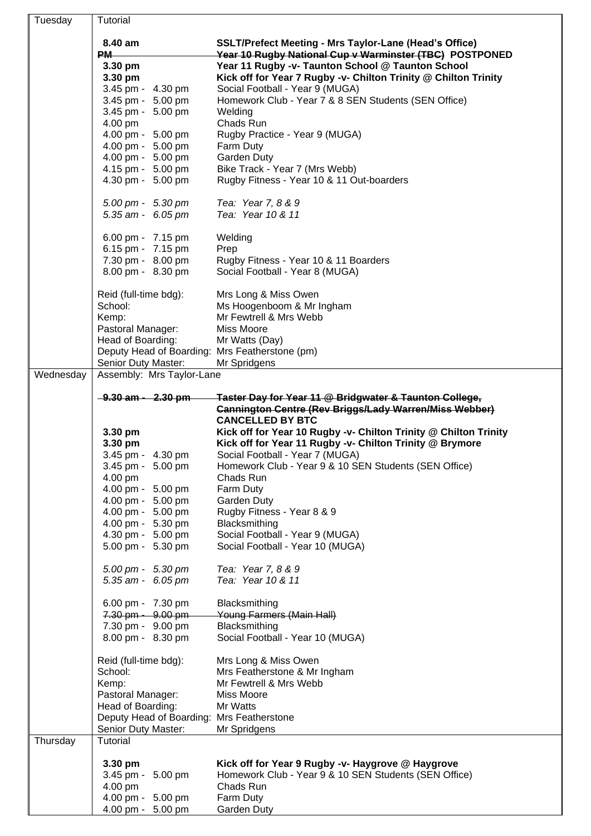|           | Tutorial                                       |                                                                                             |
|-----------|------------------------------------------------|---------------------------------------------------------------------------------------------|
| Tuesday   |                                                |                                                                                             |
|           | 8.40 am                                        | <b>SSLT/Prefect Meeting - Mrs Taylor-Lane (Head's Office)</b>                               |
|           | PM-                                            | Year 10 Rugby National Cup v Warminster (TBC) POSTPONED                                     |
|           | 3.30 pm                                        | Year 11 Rugby -v- Taunton School @ Taunton School                                           |
|           | 3.30 pm                                        | Kick off for Year 7 Rugby -v- Chilton Trinity @ Chilton Trinity                             |
|           | 3.45 pm - 4.30 pm                              | Social Football - Year 9 (MUGA)                                                             |
|           | 3.45 pm - 5.00 pm                              | Homework Club - Year 7 & 8 SEN Students (SEN Office)                                        |
|           | 3.45 pm - 5.00 pm                              | Welding                                                                                     |
|           | 4.00 pm                                        | Chads Run                                                                                   |
|           | 4.00 pm - 5.00 pm                              | Rugby Practice - Year 9 (MUGA)                                                              |
|           | 4.00 pm - 5.00 pm                              | Farm Duty                                                                                   |
|           | 4.00 pm - 5.00 pm                              | <b>Garden Duty</b>                                                                          |
|           | 4.15 pm - 5.00 pm                              | Bike Track - Year 7 (Mrs Webb)                                                              |
|           | 4.30 pm - 5.00 pm                              | Rugby Fitness - Year 10 & 11 Out-boarders                                                   |
|           | 5.00 pm - 5.30 pm                              | Tea: Year 7, 8 & 9                                                                          |
|           | 5.35 am - 6.05 pm                              | Tea: Year 10 & 11                                                                           |
|           |                                                |                                                                                             |
|           | 6.00 pm - 7.15 pm                              | Welding                                                                                     |
|           | 6.15 pm - 7.15 pm                              | Prep                                                                                        |
|           | 7.30 pm - 8.00 pm                              | Rugby Fitness - Year 10 & 11 Boarders                                                       |
|           | 8.00 pm - 8.30 pm                              | Social Football - Year 8 (MUGA)                                                             |
|           |                                                |                                                                                             |
|           | Reid (full-time bdg):                          | Mrs Long & Miss Owen                                                                        |
|           | School:                                        | Ms Hoogenboom & Mr Ingham                                                                   |
|           | Kemp:                                          | Mr Fewtrell & Mrs Webb                                                                      |
|           | Pastoral Manager:                              | Miss Moore                                                                                  |
|           | Head of Boarding:                              | Mr Watts (Day)                                                                              |
|           | Deputy Head of Boarding: Mrs Featherstone (pm) |                                                                                             |
|           | Senior Duty Master:                            | Mr Spridgens                                                                                |
| Wednesday | Assembly: Mrs Taylor-Lane                      |                                                                                             |
|           |                                                |                                                                                             |
|           | <del>9.30 am - 2.30 pm</del>                   | Taster Day for Year 11 @ Bridgwater & Taunton College,                                      |
|           |                                                | <b>Cannington Centre (Rev Briggs/Lady Warren/Miss Webber)</b>                               |
|           |                                                | <b>CANCELLED BY BTC</b>                                                                     |
|           | 3.30 pm                                        | Kick off for Year 10 Rugby -v- Chilton Trinity @ Chilton Trinity                            |
|           | 3.30 pm<br>3.45 pm - 4.30 pm                   | Kick off for Year 11 Rugby -v- Chilton Trinity @ Brymore<br>Social Football - Year 7 (MUGA) |
|           |                                                |                                                                                             |
|           | 3.45 pm - 5.00 pm<br>4.00 pm                   | Homework Club - Year 9 & 10 SEN Students (SEN Office)<br>Chads Run                          |
|           | 4.00 pm - 5.00 pm                              | Farm Duty                                                                                   |
|           | 4.00 pm - 5.00 pm                              | Garden Duty                                                                                 |
|           | 4.00 pm - 5.00 pm                              | Rugby Fitness - Year 8 & 9                                                                  |
|           | 4.00 pm - 5.30 pm                              |                                                                                             |
|           |                                                |                                                                                             |
|           |                                                | Blacksmithing                                                                               |
|           | 4.30 pm - 5.00 pm                              | Social Football - Year 9 (MUGA)                                                             |
|           | 5.00 pm - 5.30 pm                              | Social Football - Year 10 (MUGA)                                                            |
|           | 5.00 pm - 5.30 pm                              | Tea: Year 7, 8 & 9                                                                          |
|           | 5.35 am - 6.05 pm                              | Tea: Year 10 & 11                                                                           |
|           |                                                |                                                                                             |
|           | 6.00 pm - 7.30 pm                              | Blacksmithing                                                                               |
|           | 7.30 pm - 9.00 pm                              | Young Farmers (Main Hall)                                                                   |
|           | 7.30 pm - 9.00 pm                              | Blacksmithing                                                                               |
|           | 8.00 pm - 8.30 pm                              | Social Football - Year 10 (MUGA)                                                            |
|           |                                                |                                                                                             |
|           | Reid (full-time bdg):                          | Mrs Long & Miss Owen                                                                        |
|           | School:                                        | Mrs Featherstone & Mr Ingham                                                                |
|           | Kemp:                                          | Mr Fewtrell & Mrs Webb                                                                      |
|           | Pastoral Manager:                              | Miss Moore                                                                                  |
|           | Head of Boarding:                              | Mr Watts                                                                                    |
|           | Deputy Head of Boarding: Mrs Featherstone      |                                                                                             |
|           | Senior Duty Master:                            | Mr Spridgens                                                                                |
| Thursday  | Tutorial                                       |                                                                                             |
|           | 3.30 pm                                        | Kick off for Year 9 Rugby -v- Haygrove @ Haygrove                                           |
|           | 3.45 pm - 5.00 pm                              | Homework Club - Year 9 & 10 SEN Students (SEN Office)                                       |
|           | 4.00 pm                                        | Chads Run                                                                                   |
|           | 4.00 pm - 5.00 pm<br>4.00 pm - 5.00 pm         | Farm Duty                                                                                   |